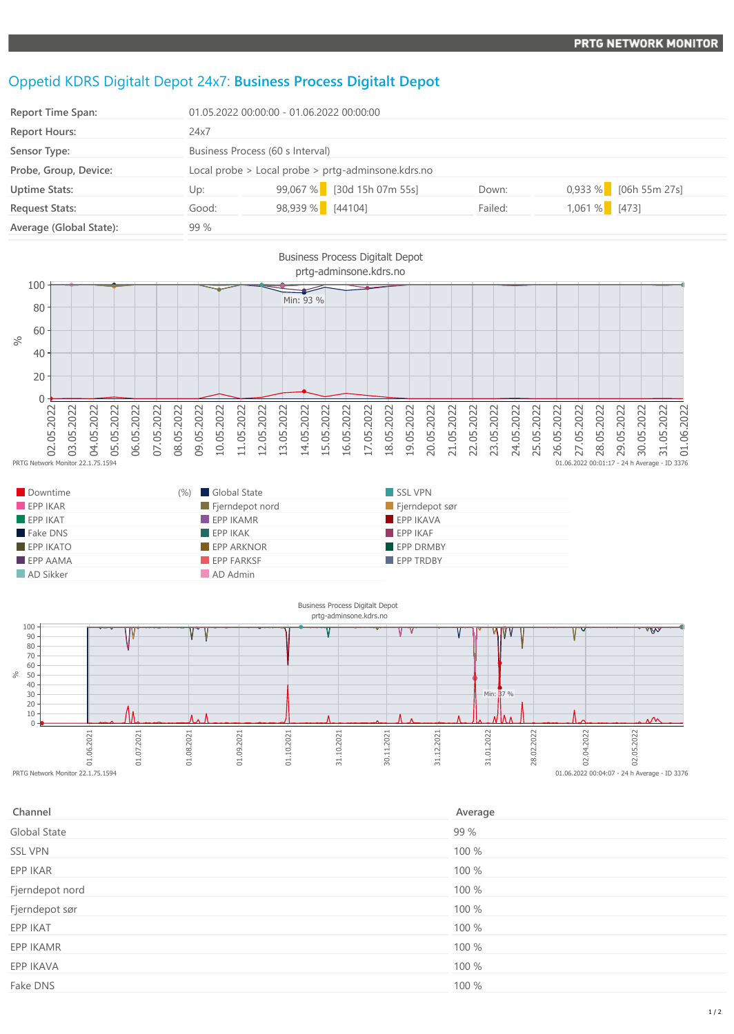## Oppetid KDRS Digitalt Depot 24x7: **Business Process Digitalt Depot**

| <b>Report Time Span:</b> | 01.05.2022 00:00:00 - 01.06.2022 00:00:00          |                            |         |                       |  |
|--------------------------|----------------------------------------------------|----------------------------|---------|-----------------------|--|
| <b>Report Hours:</b>     | 24x7                                               |                            |         |                       |  |
| Sensor Type:             | Business Process (60 s Interval)                   |                            |         |                       |  |
| Probe, Group, Device:    | Local probe > Local probe > prtg-adminsone.kdrs.no |                            |         |                       |  |
| <b>Uptime Stats:</b>     | Up:                                                | 99,067 % [30d 15h 07m 55s] | Down:   | 0,933 % [06h 55m 27s] |  |
| <b>Request Stats:</b>    | Good:                                              | 98,939 % [44104]           | Failed: | $1,061\%$ [473]       |  |
| Average (Global State):  | 99%                                                |                            |         |                       |  |



| Downtime                | Global State<br>(%)      | SSL VPN          |
|-------------------------|--------------------------|------------------|
| EPPIKAR                 | Fjerndepot nord          | Fjerndepot sør   |
| $EPP$ IKAT              | $\blacksquare$ EPP IKAMR | EPP IKAVA        |
| Fake DNS                | EPPIKAK                  | FPPIKAF          |
| $EPP$ IKATO             | <b>EPP ARKNOR</b>        | <b>EPP DRMBY</b> |
| $\blacksquare$ EPP AAMA | <b>EPP FARKSF</b>        | <b>EPP TRDBY</b> |
| AD Sikker               | AD Admin                 |                  |



| Channel         | Average |
|-----------------|---------|
| Global State    | 99 %    |
| <b>SSL VPN</b>  | 100 %   |
| EPP IKAR        | 100 %   |
| Fjerndepot nord | 100 %   |
| Fjerndepot sør  | 100 %   |
| EPP IKAT        | 100 %   |
| EPP IKAMR       | 100 %   |
| EPP IKAVA       | 100 %   |
| Fake DNS        | 100 %   |
|                 |         |